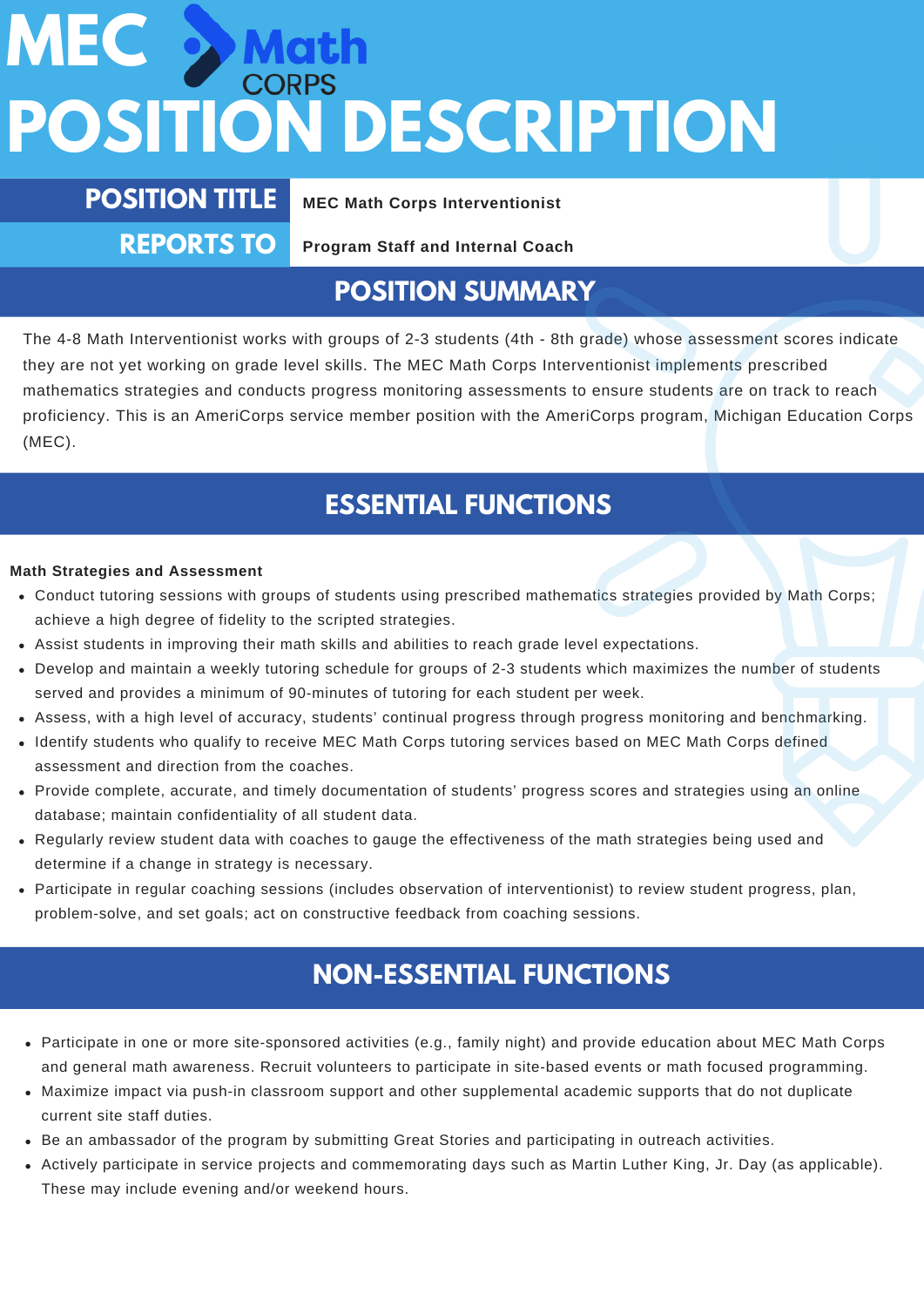# MEC > Mat **POSITION DESCRIPTION**

**POSITION TITLE MEC Math Corps Interventionist**

**REPORTS TO**

**Program Staff and Internal Coach**

### **POSITION SUMMARY**

The 4-8 Math Interventionist works with groups of 2-3 students (4th - 8th grade) whose assessment scores indicate they are not yet working on grade level skills. The MEC Math Corps Interventionist implements prescribed mathematics strategies and conducts progress monitoring assessments to ensure students are on track to reach proficiency. This is an AmeriCorps service member position with the AmeriCorps program, Michigan Education Corps (MEC).

## **ESSENTIAL FUNCTIONS**

### **Math Strategies and Assessment**

- Conduct tutoring sessions with groups of students using prescribed mathematics strategies provided by Math Corps; achieve a high degree of fidelity to the scripted strategies.
- Assist students in improving their math skills and abilities to reach grade level expectations.
- Develop and maintain a weekly tutoring schedule for groups of 2-3 students which maximizes the number of students served and provides a minimum of 90-minutes of tutoring for each student per week.
- Assess, with a high level of accuracy, students' continual progress through progress monitoring and benchmarking.
- Identify students who qualify to receive MEC Math Corps tutoring services based on MEC Math Corps defined assessment and direction from the coaches.
- Provide complete, accurate, and timely documentation of students' progress scores and strategies using an online database; maintain confidentiality of all student data.
- Regularly review student data with coaches to gauge the effectiveness of the math strategies being used and determine if a change in strategy is necessary.
- Participate in regular coaching sessions (includes observation of interventionist) to review student progress, plan, problem-solve, and set goals; act on constructive feedback from coaching sessions.

## **NON-ESSENTIAL FUNCTIONS**

- Participate in one or more site-sponsored activities (e.g., family night) and provide education about MEC Math Corps and general math awareness. Recruit volunteers to participate in site-based events or math focused programming.
- Maximize impact via push-in classroom support and other supplemental academic supports that do not duplicate current site staff duties.
- Be an ambassador of the program by submitting Great Stories and participating in outreach activities.
- Actively participate in service projects and commemorating days such as Martin Luther King, Jr. Day (as applicable). These may include evening and/or weekend hours.